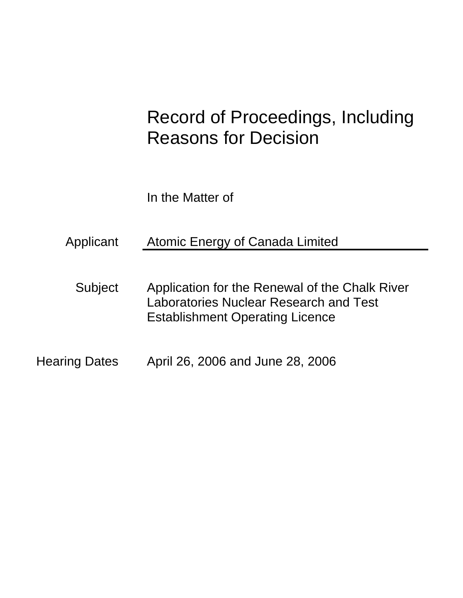# Record of Proceedings, Including Reasons for Decision

In the Matter of

Applicant Atomic Energy of Canada Limited

- Subject Application for the Renewal of the Chalk River Laboratories Nuclear Research and Test Establishment Operating Licence
- Hearing Dates April 26, 2006 and June 28, 2006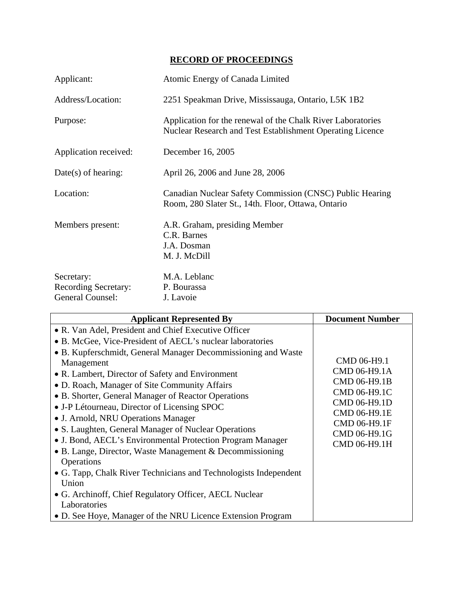# **RECORD OF PROCEEDINGS**

| Applicant:                                                    | Atomic Energy of Canada Limited                                                                                          |
|---------------------------------------------------------------|--------------------------------------------------------------------------------------------------------------------------|
| Address/Location:                                             | 2251 Speakman Drive, Mississauga, Ontario, L5K 1B2                                                                       |
| Purpose:                                                      | Application for the renewal of the Chalk River Laboratories<br>Nuclear Research and Test Establishment Operating Licence |
| Application received:                                         | December 16, 2005                                                                                                        |
| $Date(s)$ of hearing:                                         | April 26, 2006 and June 28, 2006                                                                                         |
| Location:                                                     | Canadian Nuclear Safety Commission (CNSC) Public Hearing<br>Room, 280 Slater St., 14th. Floor, Ottawa, Ontario           |
| Members present:                                              | A.R. Graham, presiding Member<br>C.R. Barnes<br>J.A. Dosman<br>M. J. McDill                                              |
| Secretary:<br><b>Recording Secretary:</b><br>General Counsel: | M.A. Leblanc<br>P. Bourassa<br>J. Lavoie                                                                                 |

| <b>Applicant Represented By</b>                                                                                                                                                                                                                                                                                                                                                                                                                                                                                                                                                                                                                                                                                                                      | <b>Document Number</b>                                                                                                                      |
|------------------------------------------------------------------------------------------------------------------------------------------------------------------------------------------------------------------------------------------------------------------------------------------------------------------------------------------------------------------------------------------------------------------------------------------------------------------------------------------------------------------------------------------------------------------------------------------------------------------------------------------------------------------------------------------------------------------------------------------------------|---------------------------------------------------------------------------------------------------------------------------------------------|
| • R. Van Adel, President and Chief Executive Officer                                                                                                                                                                                                                                                                                                                                                                                                                                                                                                                                                                                                                                                                                                 |                                                                                                                                             |
| • B. McGee, Vice-President of AECL's nuclear laboratories                                                                                                                                                                                                                                                                                                                                                                                                                                                                                                                                                                                                                                                                                            |                                                                                                                                             |
| • B. Kupferschmidt, General Manager Decommissioning and Waste<br>Management<br>• R. Lambert, Director of Safety and Environment<br>• D. Roach, Manager of Site Community Affairs<br>• B. Shorter, General Manager of Reactor Operations<br>• J-P Létourneau, Director of Licensing SPOC<br>• J. Arnold, NRU Operations Manager<br>• S. Laughten, General Manager of Nuclear Operations<br>• J. Bond, AECL's Environmental Protection Program Manager<br>• B. Lange, Director, Waste Management & Decommissioning<br>Operations<br>• G. Tapp, Chalk River Technicians and Technologists Independent<br>Union<br>• G. Archinoff, Chief Regulatory Officer, AECL Nuclear<br>Laboratories<br>• D. See Hoye, Manager of the NRU Licence Extension Program | CMD 06-H9.1<br>CMD 06-H9.1A<br>CMD 06-H9.1B<br>CMD 06-H9.1C<br>CMD 06-H9.1D<br>CMD 06-H9.1E<br>CMD 06-H9.1F<br>CMD 06-H9.1G<br>CMD 06-H9.1H |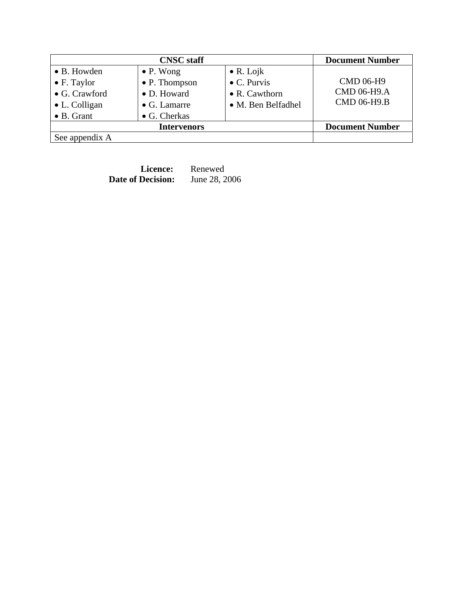| <b>CNSC</b> staff                                                                          |                                                                                           |                                                                                         | <b>Document Number</b>                         |
|--------------------------------------------------------------------------------------------|-------------------------------------------------------------------------------------------|-----------------------------------------------------------------------------------------|------------------------------------------------|
| • B. Howden<br>$\bullet$ F. Taylor<br>• G. Crawford<br>• L. Colligan<br>$\bullet$ B. Grant | $\bullet$ P. Wong<br>• P. Thompson<br>• D. Howard<br>$\bullet$ G. Lamarre<br>• G. Cherkas | $\bullet$ R. Lojk<br>$\bullet$ C. Purvis<br>$\bullet$ R. Cawthorn<br>• M. Ben Belfadhel | <b>CMD 06-H9</b><br>CMD 06-H9.A<br>CMD 06-H9.B |
|                                                                                            | <b>Intervenors</b>                                                                        |                                                                                         | <b>Document Number</b>                         |
| See appendix A                                                                             |                                                                                           |                                                                                         |                                                |

**Licence:** Renewed<br>**Decision:** June 28, 2006 **Date of Decision:**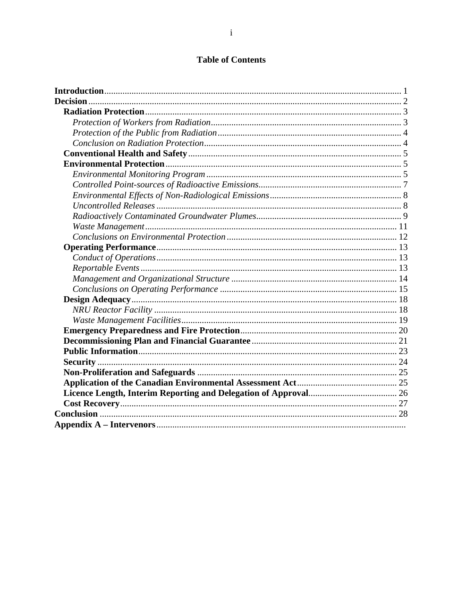# **Table of Contents**

| <b>Decision</b>   |  |
|-------------------|--|
|                   |  |
|                   |  |
|                   |  |
|                   |  |
|                   |  |
|                   |  |
|                   |  |
|                   |  |
|                   |  |
|                   |  |
|                   |  |
|                   |  |
|                   |  |
|                   |  |
|                   |  |
|                   |  |
|                   |  |
|                   |  |
|                   |  |
|                   |  |
|                   |  |
|                   |  |
|                   |  |
|                   |  |
|                   |  |
|                   |  |
|                   |  |
|                   |  |
|                   |  |
| <b>Conclusion</b> |  |
|                   |  |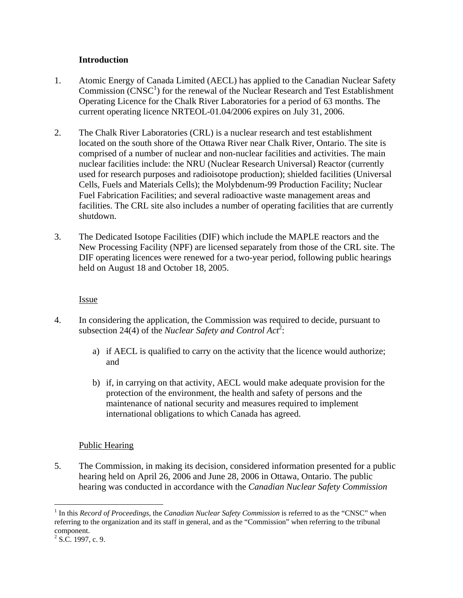## **Introduction**

- 1. Atomic Energy of Canada Limited (AECL) has applied to the Canadian Nuclear Safety  $Commission (CNSC<sup>1</sup>)$  for the renewal of the Nuclear Research and Test Establishment Operating Licence for the Chalk River Laboratories for a period of 63 months. The current operating licence NRTEOL-01.04/2006 expires on July 31, 2006.
- 2. The Chalk River Laboratories (CRL) is a nuclear research and test establishment located on the south shore of the Ottawa River near Chalk River, Ontario. The site is comprised of a number of nuclear and non-nuclear facilities and activities. The main nuclear facilities include: the NRU (Nuclear Research Universal) Reactor (currently used for research purposes and radioisotope production); shielded facilities (Universal Cells, Fuels and Materials Cells); the Molybdenum-99 Production Facility; Nuclear Fuel Fabrication Facilities; and several radioactive waste management areas and facilities. The CRL site also includes a number of operating facilities that are currently shutdown.
- 3. The Dedicated Isotope Facilities (DIF) which include the MAPLE reactors and the New Processing Facility (NPF) are licensed separately from those of the CRL site. The DIF operating licences were renewed for a two-year period, following public hearings held on August 18 and October 18, 2005.

#### Issue

- 4. In considering the application, the Commission was required to decide, pursuant to subsection 24(4) of the *Nuclear Safety and Control Act*<sup>2</sup>:
	- a) if AECL is qualified to carry on the activity that the licence would authorize; and
	- b) if, in carrying on that activity, AECL would make adequate provision for the protection of the environment, the health and safety of persons and the maintenance of national security and measures required to implement international obligations to which Canada has agreed.

#### Public Hearing

5. The Commission, in making its decision, considered information presented for a public hearing held on April 26, 2006 and June 28, 2006 in Ottawa, Ontario. The public hearing was conducted in accordance with the *Canadian Nuclear Safety Commission* 

 $\overline{a}$ 

<sup>&</sup>lt;sup>1</sup> In this *Record of Proceedings*, the *Canadian Nuclear Safety Commission* is referred to as the "CNSC" when referring to the organization and its staff in general, and as the "Commission" when referring to the tribunal component.

 $2$  S.C. 1997, c. 9.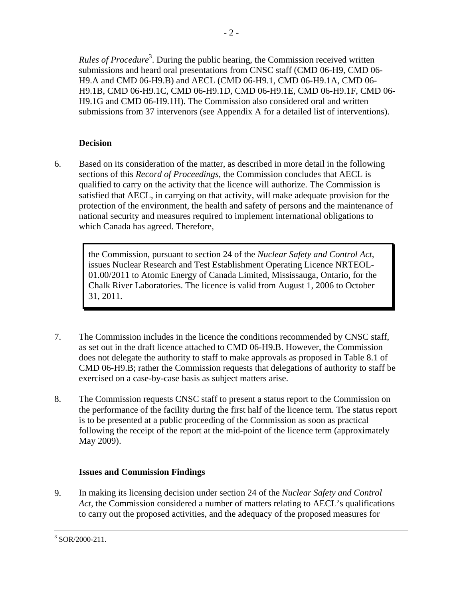Rules of Procedure<sup>3</sup>. During the public hearing, the Commission received written submissions and heard oral presentations from CNSC staff (CMD 06-H9, CMD 06 H9.A and CMD 06-H9.B) and AECL (CMD 06-H9.1, CMD 06-H9.1A, CMD 06 H9.1B, CMD 06-H9.1C, CMD 06-H9.1D, CMD 06-H9.1E, CMD 06-H9.1F, CMD 06 H9.1G and CMD 06-H9.1H). The Commission also considered oral and written submissions from 37 intervenors (see Appendix A for a detailed list of interventions).

# **Decision**

6. Based on its consideration of the matter, as described in more detail in the following sections of this *Record of Proceedings*, the Commission concludes that AECL is qualified to carry on the activity that the licence will authorize. The Commission is satisfied that AECL, in carrying on that activity, will make adequate provision for the protection of the environment, the health and safety of persons and the maintenance of national security and measures required to implement international obligations to which Canada has agreed. Therefore,

the Commission, pursuant to section 24 of the *Nuclear Safety and Control Act*, issues Nuclear Research and Test Establishment Operating Licence NRTEOL-01.00/2011 to Atomic Energy of Canada Limited, Mississauga, Ontario, for the Chalk River Laboratories. The licence is valid from August 1, 2006 to October 31, 2011.

- 7. The Commission includes in the licence the conditions recommended by CNSC staff, as set out in the draft licence attached to CMD 06-H9.B. However, the Commission does not delegate the authority to staff to make approvals as proposed in Table 8.1 of CMD 06-H9.B; rather the Commission requests that delegations of authority to staff be exercised on a case-by-case basis as subject matters arise.
- 8. The Commission requests CNSC staff to present a status report to the Commission on the performance of the facility during the first half of the licence term. The status report is to be presented at a public proceeding of the Commission as soon as practical following the receipt of the report at the mid-point of the licence term (approximately May 2009).

# **Issues and Commission Findings**

9. In making its licensing decision under section 24 of the *Nuclear Safety and Control Act*, the Commission considered a number of matters relating to AECL's qualifications to carry out the proposed activities, and the adequacy of the proposed measures for

 $\frac{1}{3}$  $3$  SOR/2000-211.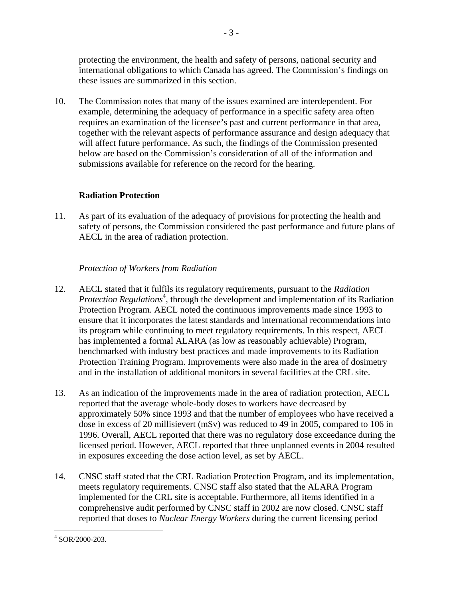protecting the environment, the health and safety of persons, national security and international obligations to which Canada has agreed. The Commission's findings on these issues are summarized in this section.

10. The Commission notes that many of the issues examined are interdependent. For example, determining the adequacy of performance in a specific safety area often requires an examination of the licensee's past and current performance in that area, together with the relevant aspects of performance assurance and design adequacy that will affect future performance. As such, the findings of the Commission presented below are based on the Commission's consideration of all of the information and submissions available for reference on the record for the hearing.

# **Radiation Protection**

11. As part of its evaluation of the adequacy of provisions for protecting the health and safety of persons, the Commission considered the past performance and future plans of AECL in the area of radiation protection.

# *Protection of Workers from Radiation*

- 12. AECL stated that it fulfils its regulatory requirements, pursuant to the *Radiation*  Protection Regulations<sup>4</sup>, through the development and implementation of its Radiation Protection Program. AECL noted the continuous improvements made since 1993 to ensure that it incorporates the latest standards and international recommendations into its program while continuing to meet regulatory requirements. In this respect, AECL has implemented a formal ALARA (as low as reasonably achievable) Program, benchmarked with industry best practices and made improvements to its Radiation Protection Training Program. Improvements were also made in the area of dosimetry and in the installation of additional monitors in several facilities at the CRL site.
- 13. As an indication of the improvements made in the area of radiation protection, AECL reported that the average whole-body doses to workers have decreased by approximately 50% since 1993 and that the number of employees who have received a dose in excess of 20 millisievert (mSv) was reduced to 49 in 2005, compared to 106 in 1996. Overall, AECL reported that there was no regulatory dose exceedance during the licensed period. However, AECL reported that three unplanned events in 2004 resulted in exposures exceeding the dose action level, as set by AECL.
- 14. CNSC staff stated that the CRL Radiation Protection Program, and its implementation, meets regulatory requirements. CNSC staff also stated that the ALARA Program implemented for the CRL site is acceptable. Furthermore, all items identified in a comprehensive audit performed by CNSC staff in 2002 are now closed. CNSC staff reported that doses to *Nuclear Energy Workers* during the current licensing period

<sup>&</sup>lt;u>.</u> 4 SOR/2000-203.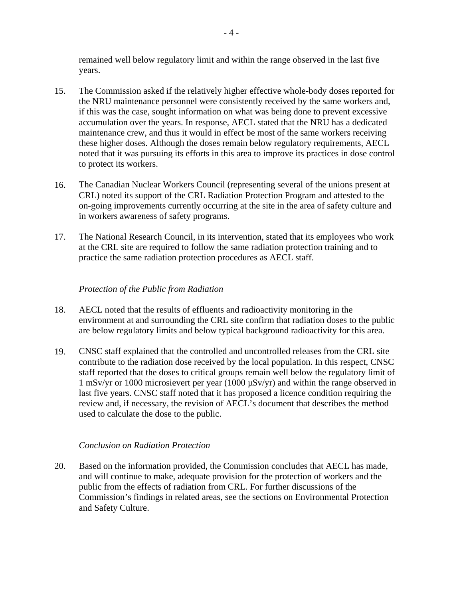remained well below regulatory limit and within the range observed in the last five years.

- 15. The Commission asked if the relatively higher effective whole-body doses reported for the NRU maintenance personnel were consistently received by the same workers and, if this was the case, sought information on what was being done to prevent excessive accumulation over the years. In response, AECL stated that the NRU has a dedicated maintenance crew, and thus it would in effect be most of the same workers receiving these higher doses. Although the doses remain below regulatory requirements, AECL noted that it was pursuing its efforts in this area to improve its practices in dose control to protect its workers.
- 16. The Canadian Nuclear Workers Council (representing several of the unions present at CRL) noted its support of the CRL Radiation Protection Program and attested to the on-going improvements currently occurring at the site in the area of safety culture and in workers awareness of safety programs.
- 17. The National Research Council, in its intervention, stated that its employees who work at the CRL site are required to follow the same radiation protection training and to practice the same radiation protection procedures as AECL staff.

# *Protection of the Public from Radiation*

- 18. AECL noted that the results of effluents and radioactivity monitoring in the environment at and surrounding the CRL site confirm that radiation doses to the public are below regulatory limits and below typical background radioactivity for this area.
- 19. CNSC staff explained that the controlled and uncontrolled releases from the CRL site contribute to the radiation dose received by the local population. In this respect, CNSC staff reported that the doses to critical groups remain well below the regulatory limit of 1 mSv/yr or 1000 microsievert per year (1000 µSv/yr) and within the range observed in last five years. CNSC staff noted that it has proposed a licence condition requiring the review and, if necessary, the revision of AECL's document that describes the method used to calculate the dose to the public.

# *Conclusion on Radiation Protection*

20. Based on the information provided, the Commission concludes that AECL has made, and will continue to make, adequate provision for the protection of workers and the public from the effects of radiation from CRL. For further discussions of the Commission's findings in related areas, see the sections on Environmental Protection and Safety Culture.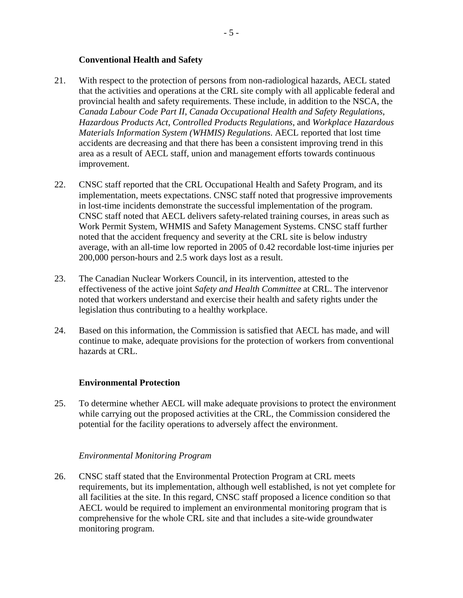## **Conventional Health and Safety**

- 21. With respect to the protection of persons from non-radiological hazards, AECL stated that the activities and operations at the CRL site comply with all applicable federal and provincial health and safety requirements. These include, in addition to the NSCA, the *Canada Labour Code Part II*, *Canada Occupational Health and Safety Regulations*, *Hazardous Products Act*, *Controlled Products Regulations*, and *Workplace Hazardous Materials Information System (WHMIS) Regulations*. AECL reported that lost time accidents are decreasing and that there has been a consistent improving trend in this area as a result of AECL staff, union and management efforts towards continuous improvement.
- 22. CNSC staff reported that the CRL Occupational Health and Safety Program, and its implementation, meets expectations. CNSC staff noted that progressive improvements in lost-time incidents demonstrate the successful implementation of the program. CNSC staff noted that AECL delivers safety-related training courses, in areas such as Work Permit System, WHMIS and Safety Management Systems. CNSC staff further noted that the accident frequency and severity at the CRL site is below industry average, with an all-time low reported in 2005 of 0.42 recordable lost-time injuries per 200,000 person-hours and 2.5 work days lost as a result.
- 23. The Canadian Nuclear Workers Council, in its intervention, attested to the effectiveness of the active joint *Safety and Health Committee* at CRL. The intervenor noted that workers understand and exercise their health and safety rights under the legislation thus contributing to a healthy workplace.
- 24. Based on this information, the Commission is satisfied that AECL has made, and will continue to make, adequate provisions for the protection of workers from conventional hazards at CRL.

#### **Environmental Protection**

25. To determine whether AECL will make adequate provisions to protect the environment while carrying out the proposed activities at the CRL, the Commission considered the potential for the facility operations to adversely affect the environment.

#### *Environmental Monitoring Program*

26. CNSC staff stated that the Environmental Protection Program at CRL meets requirements, but its implementation, although well established, is not yet complete for all facilities at the site. In this regard, CNSC staff proposed a licence condition so that AECL would be required to implement an environmental monitoring program that is comprehensive for the whole CRL site and that includes a site-wide groundwater monitoring program.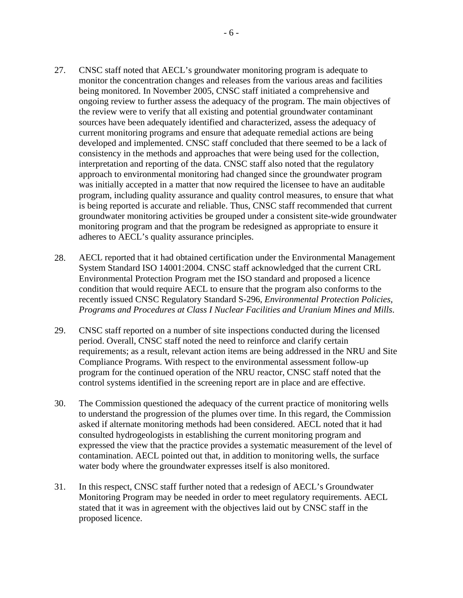- 27. CNSC staff noted that AECL's groundwater monitoring program is adequate to monitor the concentration changes and releases from the various areas and facilities being monitored. In November 2005, CNSC staff initiated a comprehensive and ongoing review to further assess the adequacy of the program. The main objectives of the review were to verify that all existing and potential groundwater contaminant sources have been adequately identified and characterized, assess the adequacy of current monitoring programs and ensure that adequate remedial actions are being developed and implemented. CNSC staff concluded that there seemed to be a lack of consistency in the methods and approaches that were being used for the collection, interpretation and reporting of the data. CNSC staff also noted that the regulatory approach to environmental monitoring had changed since the groundwater program was initially accepted in a matter that now required the licensee to have an auditable program, including quality assurance and quality control measures, to ensure that what is being reported is accurate and reliable. Thus, CNSC staff recommended that current groundwater monitoring activities be grouped under a consistent site-wide groundwater monitoring program and that the program be redesigned as appropriate to ensure it adheres to AECL's quality assurance principles.
- 28. AECL reported that it had obtained certification under the Environmental Management System Standard ISO 14001:2004. CNSC staff acknowledged that the current CRL Environmental Protection Program met the ISO standard and proposed a licence condition that would require AECL to ensure that the program also conforms to the recently issued CNSC Regulatory Standard S-296, *Environmental Protection Policies, Programs and Procedures at Class I Nuclear Facilities and Uranium Mines and Mills*.
- 29. CNSC staff reported on a number of site inspections conducted during the licensed period. Overall, CNSC staff noted the need to reinforce and clarify certain requirements; as a result, relevant action items are being addressed in the NRU and Site Compliance Programs. With respect to the environmental assessment follow-up program for the continued operation of the NRU reactor, CNSC staff noted that the control systems identified in the screening report are in place and are effective.
- 30. The Commission questioned the adequacy of the current practice of monitoring wells to understand the progression of the plumes over time. In this regard, the Commission asked if alternate monitoring methods had been considered. AECL noted that it had consulted hydrogeologists in establishing the current monitoring program and expressed the view that the practice provides a systematic measurement of the level of contamination. AECL pointed out that, in addition to monitoring wells, the surface water body where the groundwater expresses itself is also monitored.
- 31. In this respect, CNSC staff further noted that a redesign of AECL's Groundwater Monitoring Program may be needed in order to meet regulatory requirements. AECL stated that it was in agreement with the objectives laid out by CNSC staff in the proposed licence.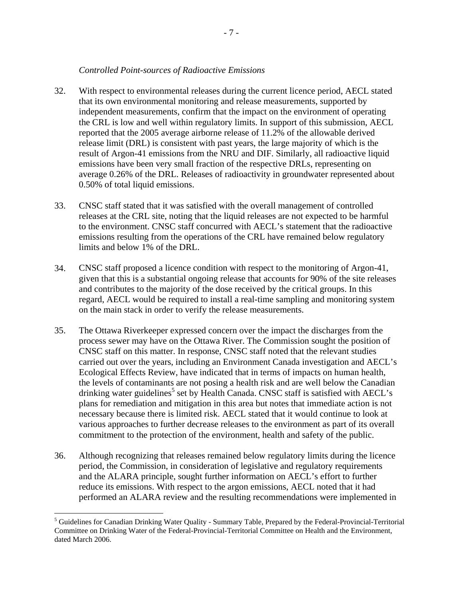#### *Controlled Point-sources of Radioactive Emissions*

- 32. With respect to environmental releases during the current licence period, AECL stated that its own environmental monitoring and release measurements, supported by independent measurements, confirm that the impact on the environment of operating the CRL is low and well within regulatory limits. In support of this submission, AECL reported that the 2005 average airborne release of 11.2% of the allowable derived release limit (DRL) is consistent with past years, the large majority of which is the result of Argon-41 emissions from the NRU and DIF. Similarly, all radioactive liquid emissions have been very small fraction of the respective DRLs, representing on average 0.26% of the DRL. Releases of radioactivity in groundwater represented about 0.50% of total liquid emissions.
- 33. CNSC staff stated that it was satisfied with the overall management of controlled releases at the CRL site, noting that the liquid releases are not expected to be harmful to the environment. CNSC staff concurred with AECL's statement that the radioactive emissions resulting from the operations of the CRL have remained below regulatory limits and below 1% of the DRL.
- 34. CNSC staff proposed a licence condition with respect to the monitoring of Argon-41, given that this is a substantial ongoing release that accounts for 90% of the site releases and contributes to the majority of the dose received by the critical groups. In this regard, AECL would be required to install a real-time sampling and monitoring system on the main stack in order to verify the release measurements.
- 35. The Ottawa Riverkeeper expressed concern over the impact the discharges from the process sewer may have on the Ottawa River. The Commission sought the position of CNSC staff on this matter. In response, CNSC staff noted that the relevant studies carried out over the years, including an Environment Canada investigation and AECL's Ecological Effects Review, have indicated that in terms of impacts on human health, the levels of contaminants are not posing a health risk and are well below the Canadian drinking water guidelines<sup>5</sup> set by Health Canada. CNSC staff is satisfied with AECL's plans for remediation and mitigation in this area but notes that immediate action is not necessary because there is limited risk. AECL stated that it would continue to look at various approaches to further decrease releases to the environment as part of its overall commitment to the protection of the environment, health and safety of the public.
- 36. Although recognizing that releases remained below regulatory limits during the licence period, the Commission, in consideration of legislative and regulatory requirements and the ALARA principle, sought further information on AECL's effort to further reduce its emissions. With respect to the argon emissions, AECL noted that it had performed an ALARA review and the resulting recommendations were implemented in

 $\overline{a}$ 

<sup>&</sup>lt;sup>5</sup> Guidelines for Canadian Drinking Water Quality - Summary Table, Prepared by the Federal-Provincial-Territorial Committee on Drinking Water of the Federal-Provincial-Territorial Committee on Health and the Environment, dated March 2006.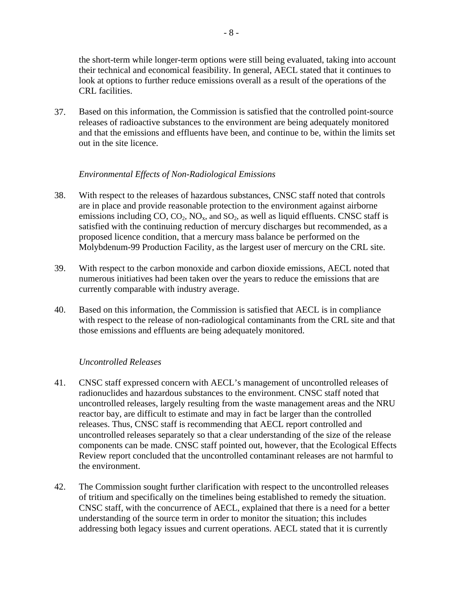the short-term while longer-term options were still being evaluated, taking into account their technical and economical feasibility. In general, AECL stated that it continues to look at options to further reduce emissions overall as a result of the operations of the CRL facilities.

37. Based on this information, the Commission is satisfied that the controlled point-source releases of radioactive substances to the environment are being adequately monitored and that the emissions and effluents have been, and continue to be, within the limits set out in the site licence.

## *Environmental Effects of Non-Radiological Emissions*

- 38. With respect to the releases of hazardous substances, CNSC staff noted that controls are in place and provide reasonable protection to the environment against airborne emissions including  $CO$ ,  $CO_2$ ,  $NO_x$ , and  $SO_2$ , as well as liquid effluents. CNSC staff is satisfied with the continuing reduction of mercury discharges but recommended, as a proposed licence condition, that a mercury mass balance be performed on the Molybdenum-99 Production Facility, as the largest user of mercury on the CRL site.
- 39. With respect to the carbon monoxide and carbon dioxide emissions, AECL noted that numerous initiatives had been taken over the years to reduce the emissions that are currently comparable with industry average.
- 40. Based on this information, the Commission is satisfied that AECL is in compliance with respect to the release of non-radiological contaminants from the CRL site and that those emissions and effluents are being adequately monitored.

# *Uncontrolled Releases*

- 41. CNSC staff expressed concern with AECL's management of uncontrolled releases of radionuclides and hazardous substances to the environment. CNSC staff noted that uncontrolled releases, largely resulting from the waste management areas and the NRU reactor bay, are difficult to estimate and may in fact be larger than the controlled releases. Thus, CNSC staff is recommending that AECL report controlled and uncontrolled releases separately so that a clear understanding of the size of the release components can be made. CNSC staff pointed out, however, that the Ecological Effects Review report concluded that the uncontrolled contaminant releases are not harmful to the environment.
- 42. The Commission sought further clarification with respect to the uncontrolled releases of tritium and specifically on the timelines being established to remedy the situation. CNSC staff, with the concurrence of AECL, explained that there is a need for a better understanding of the source term in order to monitor the situation; this includes addressing both legacy issues and current operations. AECL stated that it is currently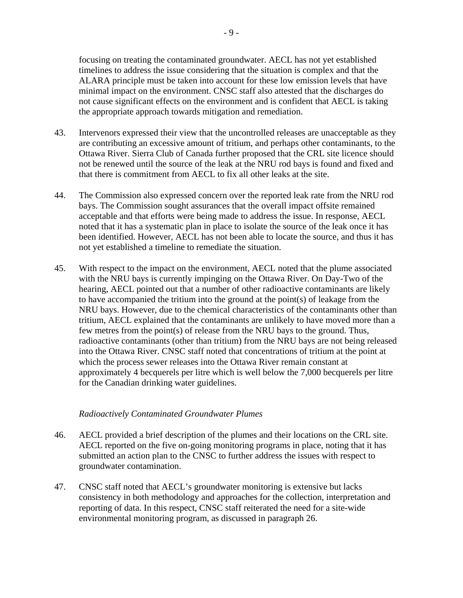focusing on treating the contaminated groundwater. AECL has not yet established timelines to address the issue considering that the situation is complex and that the ALARA principle must be taken into account for these low emission levels that have minimal impact on the environment. CNSC staff also attested that the discharges do not cause significant effects on the environment and is confident that AECL is taking the appropriate approach towards mitigation and remediation.

- 43. Intervenors expressed their view that the uncontrolled releases are unacceptable as they are contributing an excessive amount of tritium, and perhaps other contaminants, to the Ottawa River. Sierra Club of Canada further proposed that the CRL site licence should not be renewed until the source of the leak at the NRU rod bays is found and fixed and that there is commitment from AECL to fix all other leaks at the site.
- 44. The Commission also expressed concern over the reported leak rate from the NRU rod bays. The Commission sought assurances that the overall impact offsite remained acceptable and that efforts were being made to address the issue. In response, AECL noted that it has a systematic plan in place to isolate the source of the leak once it has been identified. However, AECL has not been able to locate the source, and thus it has not yet established a timeline to remediate the situation.
- 45. With respect to the impact on the environment, AECL noted that the plume associated with the NRU bays is currently impinging on the Ottawa River. On Day-Two of the hearing, AECL pointed out that a number of other radioactive contaminants are likely to have accompanied the tritium into the ground at the point(s) of leakage from the NRU bays. However, due to the chemical characteristics of the contaminants other than tritium, AECL explained that the contaminants are unlikely to have moved more than a few metres from the point(s) of release from the NRU bays to the ground. Thus, radioactive contaminants (other than tritium) from the NRU bays are not being released into the Ottawa River. CNSC staff noted that concentrations of tritium at the point at which the process sewer releases into the Ottawa River remain constant at approximately 4 becquerels per litre which is well below the 7,000 becquerels per litre for the Canadian drinking water guidelines.

#### *Radioactively Contaminated Groundwater Plumes*

- 46. AECL provided a brief description of the plumes and their locations on the CRL site. AECL reported on the five on-going monitoring programs in place, noting that it has submitted an action plan to the CNSC to further address the issues with respect to groundwater contamination.
- 47. CNSC staff noted that AECL's groundwater monitoring is extensive but lacks consistency in both methodology and approaches for the collection, interpretation and reporting of data. In this respect, CNSC staff reiterated the need for a site-wide environmental monitoring program, as discussed in paragraph 26.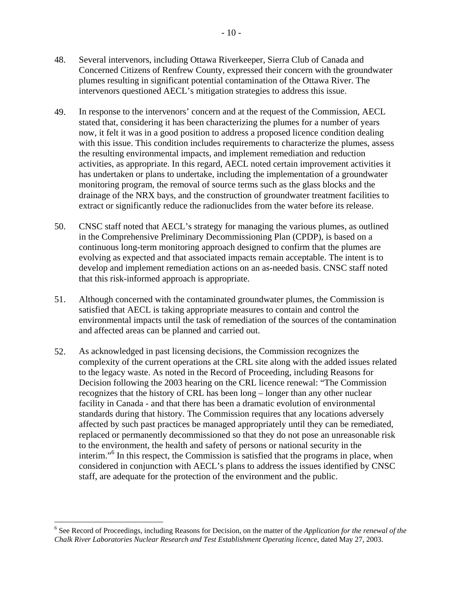- 48. Several intervenors, including Ottawa Riverkeeper, Sierra Club of Canada and Concerned Citizens of Renfrew County, expressed their concern with the groundwater plumes resulting in significant potential contamination of the Ottawa River. The intervenors questioned AECL's mitigation strategies to address this issue.
- 49. In response to the intervenors' concern and at the request of the Commission, AECL stated that, considering it has been characterizing the plumes for a number of years now, it felt it was in a good position to address a proposed licence condition dealing with this issue. This condition includes requirements to characterize the plumes, assess the resulting environmental impacts, and implement remediation and reduction activities, as appropriate. In this regard, AECL noted certain improvement activities it has undertaken or plans to undertake, including the implementation of a groundwater monitoring program, the removal of source terms such as the glass blocks and the drainage of the NRX bays, and the construction of groundwater treatment facilities to extract or significantly reduce the radionuclides from the water before its release.
- 50. CNSC staff noted that AECL's strategy for managing the various plumes, as outlined in the Comprehensive Preliminary Decommissioning Plan (CPDP), is based on a continuous long-term monitoring approach designed to confirm that the plumes are evolving as expected and that associated impacts remain acceptable. The intent is to develop and implement remediation actions on an as-needed basis. CNSC staff noted that this risk-informed approach is appropriate.
- 51. Although concerned with the contaminated groundwater plumes, the Commission is satisfied that AECL is taking appropriate measures to contain and control the environmental impacts until the task of remediation of the sources of the contamination and affected areas can be planned and carried out.
- 52. As acknowledged in past licensing decisions, the Commission recognizes the complexity of the current operations at the CRL site along with the added issues related to the legacy waste. As noted in the Record of Proceeding, including Reasons for Decision following the 2003 hearing on the CRL licence renewal: "The Commission recognizes that the history of CRL has been long – longer than any other nuclear facility in Canada - and that there has been a dramatic evolution of environmental standards during that history. The Commission requires that any locations adversely affected by such past practices be managed appropriately until they can be remediated, replaced or permanently decommissioned so that they do not pose an unreasonable risk to the environment, the health and safety of persons or national security in the interim."<sup>6</sup> In this respect, the Commission is satisfied that the programs in place, when considered in conjunction with AECL's plans to address the issues identified by CNSC staff, are adequate for the protection of the environment and the public.

 6 See Record of Proceedings, including Reasons for Decision, on the matter of the *Application for the renewal of the Chalk River Laboratories Nuclear Research and Test Establishment Operating licence*, dated May 27, 2003.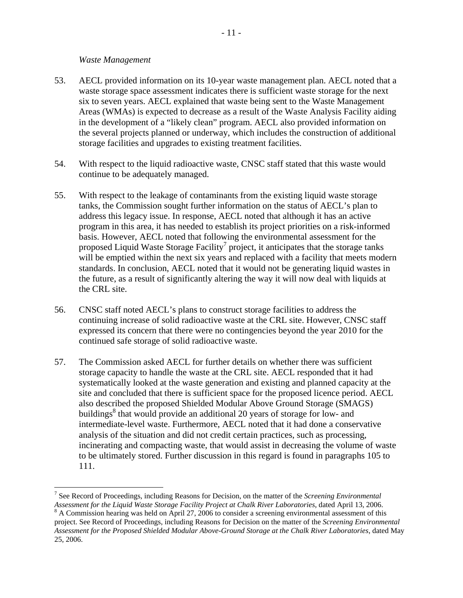#### *Waste Management*

- 53. AECL provided information on its 10-year waste management plan. AECL noted that a waste storage space assessment indicates there is sufficient waste storage for the next six to seven years. AECL explained that waste being sent to the Waste Management Areas (WMAs) is expected to decrease as a result of the Waste Analysis Facility aiding in the development of a "likely clean" program. AECL also provided information on the several projects planned or underway, which includes the construction of additional storage facilities and upgrades to existing treatment facilities.
- 54. With respect to the liquid radioactive waste, CNSC staff stated that this waste would continue to be adequately managed.
- 55. With respect to the leakage of contaminants from the existing liquid waste storage tanks, the Commission sought further information on the status of AECL's plan to address this legacy issue. In response, AECL noted that although it has an active program in this area, it has needed to establish its project priorities on a risk-informed basis. However, AECL noted that following the environmental assessment for the proposed Liquid Waste Storage Facility<sup>7</sup> project, it anticipates that the storage tanks will be emptied within the next six years and replaced with a facility that meets modern standards. In conclusion, AECL noted that it would not be generating liquid wastes in the future, as a result of significantly altering the way it will now deal with liquids at the CRL site.
- 56. CNSC staff noted AECL's plans to construct storage facilities to address the continuing increase of solid radioactive waste at the CRL site. However, CNSC staff expressed its concern that there were no contingencies beyond the year 2010 for the continued safe storage of solid radioactive waste.
- 57. The Commission asked AECL for further details on whether there was sufficient storage capacity to handle the waste at the CRL site. AECL responded that it had systematically looked at the waste generation and existing and planned capacity at the site and concluded that there is sufficient space for the proposed licence period. AECL also described the proposed Shielded Modular Above Ground Storage (SMAGS) buildings<sup>8</sup> that would provide an additional 20 years of storage for low- and intermediate-level waste. Furthermore, AECL noted that it had done a conservative analysis of the situation and did not credit certain practices, such as processing, incinerating and compacting waste, that would assist in decreasing the volume of waste to be ultimately stored. Further discussion in this regard is found in paragraphs 105 to 111.

 $\overline{a}$ 7 See Record of Proceedings, including Reasons for Decision, on the matter of the *Screening Environmental Assessment for the Liquid Waste Storage Facility Project at Chalk River Laboratories*, dated April 13, 2006. 8

<sup>&</sup>lt;sup>8</sup> A Commission hearing was held on April 27, 2006 to consider a screening environmental assessment of this project. See Record of Proceedings, including Reasons for Decision on the matter of the *Screening Environmental Assessment for the Proposed Shielded Modular Above-Ground Storage at the Chalk River Laboratories*, dated May 25, 2006.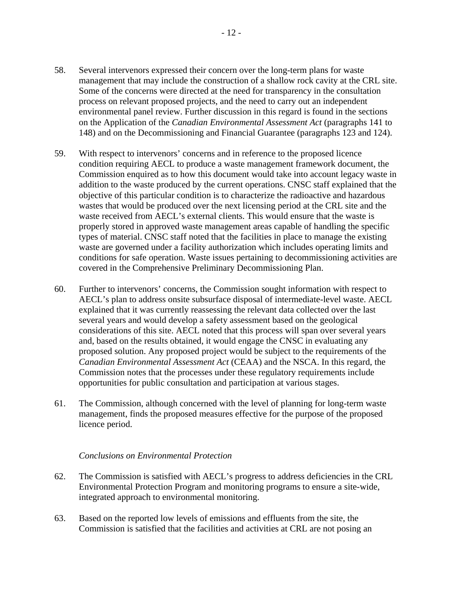- 58. Several intervenors expressed their concern over the long-term plans for waste management that may include the construction of a shallow rock cavity at the CRL site. Some of the concerns were directed at the need for transparency in the consultation process on relevant proposed projects, and the need to carry out an independent environmental panel review. Further discussion in this regard is found in the sections on the Application of the *Canadian Environmental Assessment Act* (paragraphs 141 to 148) and on the Decommissioning and Financial Guarantee (paragraphs 123 and 124).
- 59. With respect to intervenors' concerns and in reference to the proposed licence condition requiring AECL to produce a waste management framework document, the Commission enquired as to how this document would take into account legacy waste in addition to the waste produced by the current operations. CNSC staff explained that the objective of this particular condition is to characterize the radioactive and hazardous wastes that would be produced over the next licensing period at the CRL site and the waste received from AECL's external clients. This would ensure that the waste is properly stored in approved waste management areas capable of handling the specific types of material. CNSC staff noted that the facilities in place to manage the existing waste are governed under a facility authorization which includes operating limits and conditions for safe operation. Waste issues pertaining to decommissioning activities are covered in the Comprehensive Preliminary Decommissioning Plan.
- 60. Further to intervenors' concerns, the Commission sought information with respect to AECL's plan to address onsite subsurface disposal of intermediate-level waste. AECL explained that it was currently reassessing the relevant data collected over the last several years and would develop a safety assessment based on the geological considerations of this site. AECL noted that this process will span over several years and, based on the results obtained, it would engage the CNSC in evaluating any proposed solution. Any proposed project would be subject to the requirements of the *Canadian Environmental Assessment Act* (CEAA) and the NSCA. In this regard, the Commission notes that the processes under these regulatory requirements include opportunities for public consultation and participation at various stages.
- 61. The Commission, although concerned with the level of planning for long-term waste management, finds the proposed measures effective for the purpose of the proposed licence period.

#### *Conclusions on Environmental Protection*

- 62. The Commission is satisfied with AECL's progress to address deficiencies in the CRL Environmental Protection Program and monitoring programs to ensure a site-wide, integrated approach to environmental monitoring.
- 63. Based on the reported low levels of emissions and effluents from the site, the Commission is satisfied that the facilities and activities at CRL are not posing an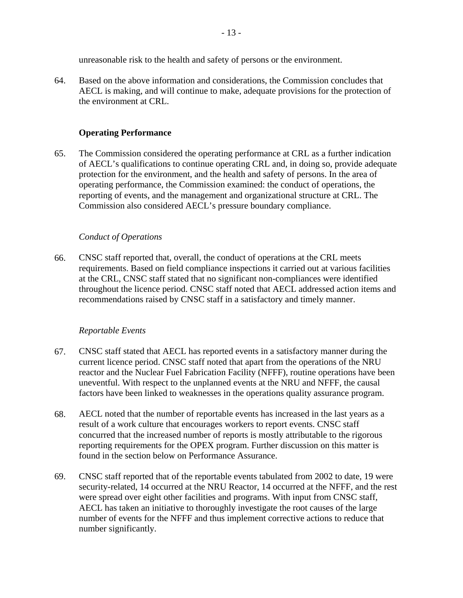unreasonable risk to the health and safety of persons or the environment.

64. Based on the above information and considerations, the Commission concludes that AECL is making, and will continue to make, adequate provisions for the protection of the environment at CRL.

## **Operating Performance**

65. The Commission considered the operating performance at CRL as a further indication of AECL's qualifications to continue operating CRL and, in doing so, provide adequate protection for the environment, and the health and safety of persons. In the area of operating performance, the Commission examined: the conduct of operations, the reporting of events, and the management and organizational structure at CRL. The Commission also considered AECL's pressure boundary compliance.

#### *Conduct of Operations*

66. CNSC staff reported that, overall, the conduct of operations at the CRL meets requirements. Based on field compliance inspections it carried out at various facilities at the CRL, CNSC staff stated that no significant non-compliances were identified throughout the licence period. CNSC staff noted that AECL addressed action items and recommendations raised by CNSC staff in a satisfactory and timely manner.

#### *Reportable Events*

- 67. CNSC staff stated that AECL has reported events in a satisfactory manner during the current licence period. CNSC staff noted that apart from the operations of the NRU reactor and the Nuclear Fuel Fabrication Facility (NFFF), routine operations have been uneventful. With respect to the unplanned events at the NRU and NFFF, the causal factors have been linked to weaknesses in the operations quality assurance program.
- 68. AECL noted that the number of reportable events has increased in the last years as a result of a work culture that encourages workers to report events. CNSC staff concurred that the increased number of reports is mostly attributable to the rigorous reporting requirements for the OPEX program. Further discussion on this matter is found in the section below on Performance Assurance.
- 69. CNSC staff reported that of the reportable events tabulated from 2002 to date, 19 were security-related, 14 occurred at the NRU Reactor, 14 occurred at the NFFF, and the rest were spread over eight other facilities and programs. With input from CNSC staff, AECL has taken an initiative to thoroughly investigate the root causes of the large number of events for the NFFF and thus implement corrective actions to reduce that number significantly.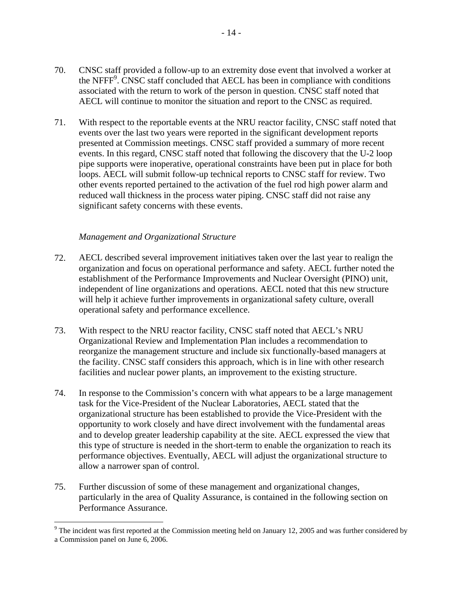- 70. CNSC staff provided a follow-up to an extremity dose event that involved a worker at the NFFF<sup>9</sup>. CNSC staff concluded that AECL has been in compliance with conditions associated with the return to work of the person in question. CNSC staff noted that AECL will continue to monitor the situation and report to the CNSC as required.
- 71. With respect to the reportable events at the NRU reactor facility, CNSC staff noted that events over the last two years were reported in the significant development reports presented at Commission meetings. CNSC staff provided a summary of more recent events. In this regard, CNSC staff noted that following the discovery that the U-2 loop pipe supports were inoperative, operational constraints have been put in place for both loops. AECL will submit follow-up technical reports to CNSC staff for review. Two other events reported pertained to the activation of the fuel rod high power alarm and reduced wall thickness in the process water piping. CNSC staff did not raise any significant safety concerns with these events.

#### *Management and Organizational Structure*

1

- 72. AECL described several improvement initiatives taken over the last year to realign the organization and focus on operational performance and safety. AECL further noted the establishment of the Performance Improvements and Nuclear Oversight (PINO) unit, independent of line organizations and operations. AECL noted that this new structure will help it achieve further improvements in organizational safety culture, overall operational safety and performance excellence.
- 73. With respect to the NRU reactor facility, CNSC staff noted that AECL's NRU Organizational Review and Implementation Plan includes a recommendation to reorganize the management structure and include six functionally-based managers at the facility. CNSC staff considers this approach, which is in line with other research facilities and nuclear power plants, an improvement to the existing structure.
- 74. In response to the Commission's concern with what appears to be a large management task for the Vice-President of the Nuclear Laboratories, AECL stated that the organizational structure has been established to provide the Vice-President with the opportunity to work closely and have direct involvement with the fundamental areas and to develop greater leadership capability at the site. AECL expressed the view that this type of structure is needed in the short-term to enable the organization to reach its performance objectives. Eventually, AECL will adjust the organizational structure to allow a narrower span of control.
- 75. Further discussion of some of these management and organizational changes, particularly in the area of Quality Assurance, is contained in the following section on Performance Assurance.

 $9$  The incident was first reported at the Commission meeting held on January 12, 2005 and was further considered by a Commission panel on June 6, 2006.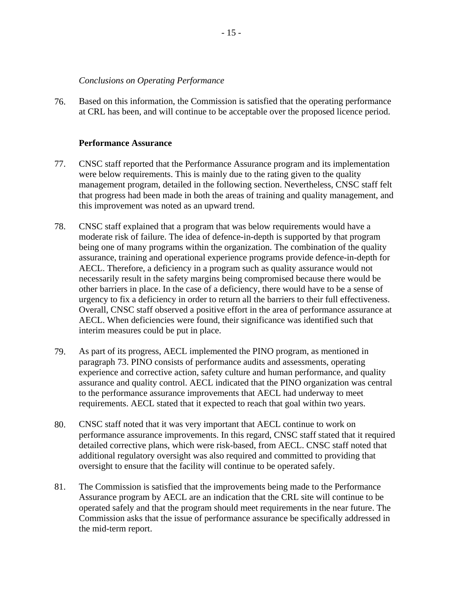#### *Conclusions on Operating Performance*

76. Based on this information, the Commission is satisfied that the operating performance at CRL has been, and will continue to be acceptable over the proposed licence period.

#### **Performance Assurance**

- 77. CNSC staff reported that the Performance Assurance program and its implementation were below requirements. This is mainly due to the rating given to the quality management program, detailed in the following section. Nevertheless, CNSC staff felt that progress had been made in both the areas of training and quality management, and this improvement was noted as an upward trend.
- 78. CNSC staff explained that a program that was below requirements would have a moderate risk of failure. The idea of defence-in-depth is supported by that program being one of many programs within the organization. The combination of the quality assurance, training and operational experience programs provide defence-in-depth for AECL. Therefore, a deficiency in a program such as quality assurance would not necessarily result in the safety margins being compromised because there would be other barriers in place. In the case of a deficiency, there would have to be a sense of urgency to fix a deficiency in order to return all the barriers to their full effectiveness. Overall, CNSC staff observed a positive effort in the area of performance assurance at AECL. When deficiencies were found, their significance was identified such that interim measures could be put in place.
- 79. As part of its progress, AECL implemented the PINO program, as mentioned in paragraph 73. PINO consists of performance audits and assessments, operating experience and corrective action, safety culture and human performance, and quality assurance and quality control. AECL indicated that the PINO organization was central to the performance assurance improvements that AECL had underway to meet requirements. AECL stated that it expected to reach that goal within two years.
- 80. CNSC staff noted that it was very important that AECL continue to work on performance assurance improvements. In this regard, CNSC staff stated that it required detailed corrective plans, which were risk-based, from AECL. CNSC staff noted that additional regulatory oversight was also required and committed to providing that oversight to ensure that the facility will continue to be operated safely.
- 81. The Commission is satisfied that the improvements being made to the Performance Assurance program by AECL are an indication that the CRL site will continue to be operated safely and that the program should meet requirements in the near future. The Commission asks that the issue of performance assurance be specifically addressed in the mid-term report.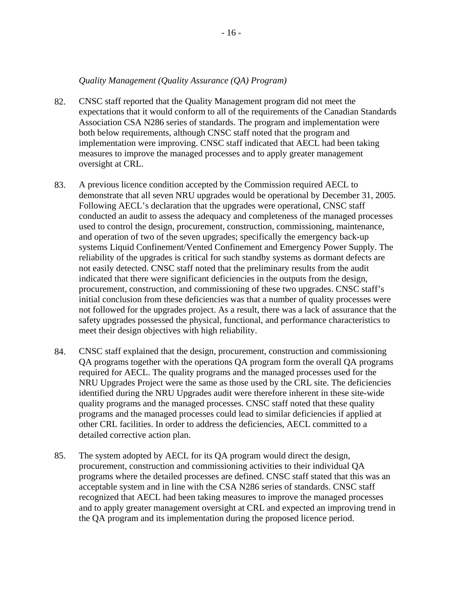#### *Quality Management (Quality Assurance (QA) Program)*

- 82. CNSC staff reported that the Quality Management program did not meet the expectations that it would conform to all of the requirements of the Canadian Standards Association CSA N286 series of standards. The program and implementation were both below requirements, although CNSC staff noted that the program and implementation were improving. CNSC staff indicated that AECL had been taking measures to improve the managed processes and to apply greater management oversight at CRL.
- 83. A previous licence condition accepted by the Commission required AECL to demonstrate that all seven NRU upgrades would be operational by December 31, 2005. Following AECL's declaration that the upgrades were operational, CNSC staff conducted an audit to assess the adequacy and completeness of the managed processes used to control the design, procurement, construction, commissioning, maintenance, and operation of two of the seven upgrades; specifically the emergency back-up systems Liquid Confinement/Vented Confinement and Emergency Power Supply. The reliability of the upgrades is critical for such standby systems as dormant defects are not easily detected. CNSC staff noted that the preliminary results from the audit indicated that there were significant deficiencies in the outputs from the design, procurement, construction, and commissioning of these two upgrades. CNSC staff's initial conclusion from these deficiencies was that a number of quality processes were not followed for the upgrades project. As a result, there was a lack of assurance that the safety upgrades possessed the physical, functional, and performance characteristics to meet their design objectives with high reliability.
- 84. CNSC staff explained that the design, procurement, construction and commissioning QA programs together with the operations QA program form the overall QA programs required for AECL. The quality programs and the managed processes used for the NRU Upgrades Project were the same as those used by the CRL site. The deficiencies identified during the NRU Upgrades audit were therefore inherent in these site-wide quality programs and the managed processes. CNSC staff noted that these quality programs and the managed processes could lead to similar deficiencies if applied at other CRL facilities. In order to address the deficiencies, AECL committed to a detailed corrective action plan.
- 85. The system adopted by AECL for its QA program would direct the design, procurement, construction and commissioning activities to their individual QA programs where the detailed processes are defined. CNSC staff stated that this was an acceptable system and in line with the CSA N286 series of standards. CNSC staff recognized that AECL had been taking measures to improve the managed processes and to apply greater management oversight at CRL and expected an improving trend in the QA program and its implementation during the proposed licence period.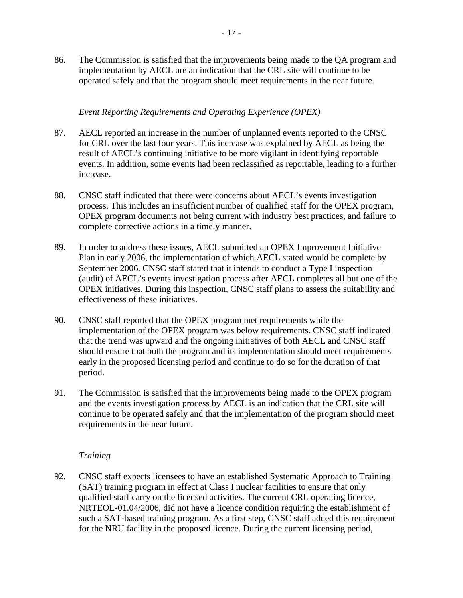86. The Commission is satisfied that the improvements being made to the QA program and implementation by AECL are an indication that the CRL site will continue to be operated safely and that the program should meet requirements in the near future.

## *Event Reporting Requirements and Operating Experience (OPEX)*

- 87. AECL reported an increase in the number of unplanned events reported to the CNSC for CRL over the last four years. This increase was explained by AECL as being the result of AECL's continuing initiative to be more vigilant in identifying reportable events. In addition, some events had been reclassified as reportable, leading to a further increase.
- 88. CNSC staff indicated that there were concerns about AECL's events investigation process. This includes an insufficient number of qualified staff for the OPEX program, OPEX program documents not being current with industry best practices, and failure to complete corrective actions in a timely manner.
- 89. In order to address these issues, AECL submitted an OPEX Improvement Initiative Plan in early 2006, the implementation of which AECL stated would be complete by September 2006. CNSC staff stated that it intends to conduct a Type I inspection (audit) of AECL's events investigation process after AECL completes all but one of the OPEX initiatives. During this inspection, CNSC staff plans to assess the suitability and effectiveness of these initiatives.
- 90. CNSC staff reported that the OPEX program met requirements while the implementation of the OPEX program was below requirements. CNSC staff indicated that the trend was upward and the ongoing initiatives of both AECL and CNSC staff should ensure that both the program and its implementation should meet requirements early in the proposed licensing period and continue to do so for the duration of that period.
- 91. The Commission is satisfied that the improvements being made to the OPEX program and the events investigation process by AECL is an indication that the CRL site will continue to be operated safely and that the implementation of the program should meet requirements in the near future.

#### *Training*

92. CNSC staff expects licensees to have an established Systematic Approach to Training (SAT) training program in effect at Class I nuclear facilities to ensure that only qualified staff carry on the licensed activities. The current CRL operating licence, NRTEOL-01.04/2006, did not have a licence condition requiring the establishment of such a SAT-based training program. As a first step, CNSC staff added this requirement for the NRU facility in the proposed licence. During the current licensing period,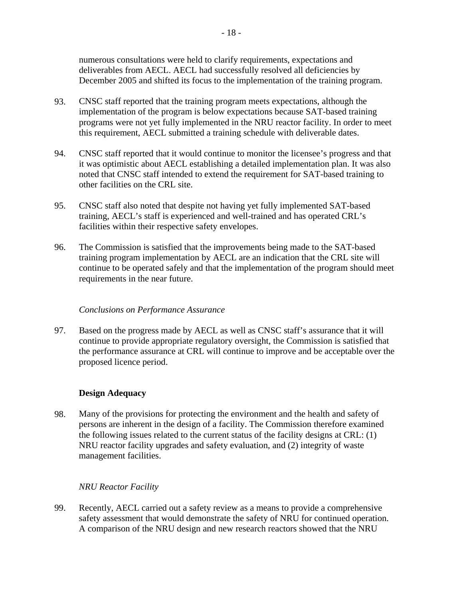numerous consultations were held to clarify requirements, expectations and deliverables from AECL. AECL had successfully resolved all deficiencies by December 2005 and shifted its focus to the implementation of the training program.

- 93. CNSC staff reported that the training program meets expectations, although the implementation of the program is below expectations because SAT-based training programs were not yet fully implemented in the NRU reactor facility. In order to meet this requirement, AECL submitted a training schedule with deliverable dates.
- 94. CNSC staff reported that it would continue to monitor the licensee's progress and that it was optimistic about AECL establishing a detailed implementation plan. It was also noted that CNSC staff intended to extend the requirement for SAT-based training to other facilities on the CRL site.
- 95. CNSC staff also noted that despite not having yet fully implemented SAT-based training, AECL's staff is experienced and well-trained and has operated CRL's facilities within their respective safety envelopes.
- 96. The Commission is satisfied that the improvements being made to the SAT-based training program implementation by AECL are an indication that the CRL site will continue to be operated safely and that the implementation of the program should meet requirements in the near future.

#### *Conclusions on Performance Assurance*

97. Based on the progress made by AECL as well as CNSC staff's assurance that it will continue to provide appropriate regulatory oversight, the Commission is satisfied that the performance assurance at CRL will continue to improve and be acceptable over the proposed licence period.

# **Design Adequacy**

98. Many of the provisions for protecting the environment and the health and safety of persons are inherent in the design of a facility. The Commission therefore examined the following issues related to the current status of the facility designs at CRL: (1) NRU reactor facility upgrades and safety evaluation, and (2) integrity of waste management facilities.

# *NRU Reactor Facility*

99. Recently, AECL carried out a safety review as a means to provide a comprehensive safety assessment that would demonstrate the safety of NRU for continued operation. A comparison of the NRU design and new research reactors showed that the NRU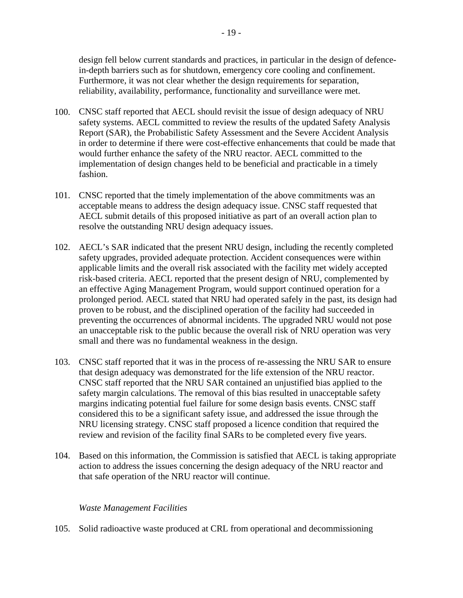design fell below current standards and practices, in particular in the design of defencein-depth barriers such as for shutdown, emergency core cooling and confinement. Furthermore, it was not clear whether the design requirements for separation, reliability, availability, performance, functionality and surveillance were met.

- 100. CNSC staff reported that AECL should revisit the issue of design adequacy of NRU safety systems. AECL committed to review the results of the updated Safety Analysis Report (SAR), the Probabilistic Safety Assessment and the Severe Accident Analysis in order to determine if there were cost-effective enhancements that could be made that would further enhance the safety of the NRU reactor. AECL committed to the implementation of design changes held to be beneficial and practicable in a timely fashion.
- 101. CNSC reported that the timely implementation of the above commitments was an acceptable means to address the design adequacy issue. CNSC staff requested that AECL submit details of this proposed initiative as part of an overall action plan to resolve the outstanding NRU design adequacy issues.
- 102. AECL's SAR indicated that the present NRU design, including the recently completed safety upgrades, provided adequate protection. Accident consequences were within applicable limits and the overall risk associated with the facility met widely accepted risk-based criteria. AECL reported that the present design of NRU, complemented by an effective Aging Management Program, would support continued operation for a prolonged period. AECL stated that NRU had operated safely in the past, its design had proven to be robust, and the disciplined operation of the facility had succeeded in preventing the occurrences of abnormal incidents. The upgraded NRU would not pose an unacceptable risk to the public because the overall risk of NRU operation was very small and there was no fundamental weakness in the design.
- 103. CNSC staff reported that it was in the process of re-assessing the NRU SAR to ensure that design adequacy was demonstrated for the life extension of the NRU reactor. CNSC staff reported that the NRU SAR contained an unjustified bias applied to the safety margin calculations. The removal of this bias resulted in unacceptable safety margins indicating potential fuel failure for some design basis events. CNSC staff considered this to be a significant safety issue, and addressed the issue through the NRU licensing strategy. CNSC staff proposed a licence condition that required the review and revision of the facility final SARs to be completed every five years.
- 104. Based on this information, the Commission is satisfied that AECL is taking appropriate action to address the issues concerning the design adequacy of the NRU reactor and that safe operation of the NRU reactor will continue.

#### *Waste Management Facilities*

105. Solid radioactive waste produced at CRL from operational and decommissioning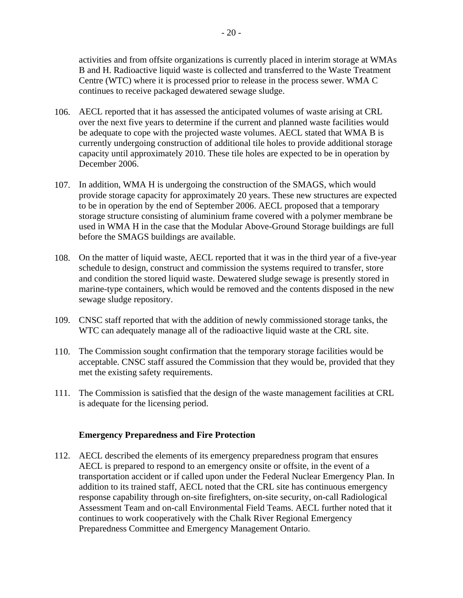activities and from offsite organizations is currently placed in interim storage at WMAs B and H. Radioactive liquid waste is collected and transferred to the Waste Treatment Centre (WTC) where it is processed prior to release in the process sewer. WMA C continues to receive packaged dewatered sewage sludge.

- 106. AECL reported that it has assessed the anticipated volumes of waste arising at CRL over the next five years to determine if the current and planned waste facilities would be adequate to cope with the projected waste volumes. AECL stated that WMA B is currently undergoing construction of additional tile holes to provide additional storage capacity until approximately 2010. These tile holes are expected to be in operation by December 2006.
- 107. In addition, WMA H is undergoing the construction of the SMAGS, which would provide storage capacity for approximately 20 years. These new structures are expected to be in operation by the end of September 2006. AECL proposed that a temporary storage structure consisting of aluminium frame covered with a polymer membrane be used in WMA H in the case that the Modular Above-Ground Storage buildings are full before the SMAGS buildings are available.
- 108. On the matter of liquid waste, AECL reported that it was in the third year of a five-year schedule to design, construct and commission the systems required to transfer, store and condition the stored liquid waste. Dewatered sludge sewage is presently stored in marine-type containers, which would be removed and the contents disposed in the new sewage sludge repository.
- 109. CNSC staff reported that with the addition of newly commissioned storage tanks, the WTC can adequately manage all of the radioactive liquid waste at the CRL site.
- 110. The Commission sought confirmation that the temporary storage facilities would be acceptable. CNSC staff assured the Commission that they would be, provided that they met the existing safety requirements.
- 111. The Commission is satisfied that the design of the waste management facilities at CRL is adequate for the licensing period.

#### **Emergency Preparedness and Fire Protection**

112. AECL described the elements of its emergency preparedness program that ensures AECL is prepared to respond to an emergency onsite or offsite, in the event of a transportation accident or if called upon under the Federal Nuclear Emergency Plan. In addition to its trained staff, AECL noted that the CRL site has continuous emergency response capability through on-site firefighters, on-site security, on-call Radiological Assessment Team and on-call Environmental Field Teams. AECL further noted that it continues to work cooperatively with the Chalk River Regional Emergency Preparedness Committee and Emergency Management Ontario.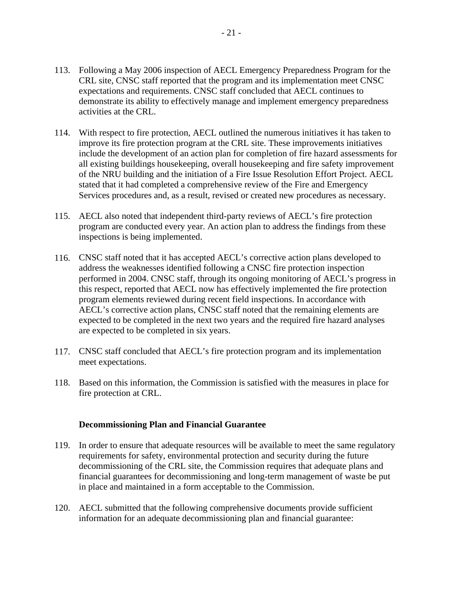- 113. Following a May 2006 inspection of AECL Emergency Preparedness Program for the CRL site, CNSC staff reported that the program and its implementation meet CNSC expectations and requirements. CNSC staff concluded that AECL continues to demonstrate its ability to effectively manage and implement emergency preparedness activities at the CRL.
- 114. With respect to fire protection, AECL outlined the numerous initiatives it has taken to improve its fire protection program at the CRL site. These improvements initiatives include the development of an action plan for completion of fire hazard assessments for all existing buildings housekeeping, overall housekeeping and fire safety improvement of the NRU building and the initiation of a Fire Issue Resolution Effort Project. AECL stated that it had completed a comprehensive review of the Fire and Emergency Services procedures and, as a result, revised or created new procedures as necessary.
- 115. AECL also noted that independent third-party reviews of AECL's fire protection program are conducted every year. An action plan to address the findings from these inspections is being implemented.
- 116. CNSC staff noted that it has accepted AECL's corrective action plans developed to address the weaknesses identified following a CNSC fire protection inspection performed in 2004. CNSC staff, through its ongoing monitoring of AECL's progress in this respect, reported that AECL now has effectively implemented the fire protection program elements reviewed during recent field inspections. In accordance with AECL's corrective action plans, CNSC staff noted that the remaining elements are expected to be completed in the next two years and the required fire hazard analyses are expected to be completed in six years.
- 117. CNSC staff concluded that AECL's fire protection program and its implementation meet expectations.
- 118. Based on this information, the Commission is satisfied with the measures in place for fire protection at CRL.

#### **Decommissioning Plan and Financial Guarantee**

- 119. In order to ensure that adequate resources will be available to meet the same regulatory requirements for safety, environmental protection and security during the future decommissioning of the CRL site, the Commission requires that adequate plans and financial guarantees for decommissioning and long-term management of waste be put in place and maintained in a form acceptable to the Commission.
- 120. AECL submitted that the following comprehensive documents provide sufficient information for an adequate decommissioning plan and financial guarantee: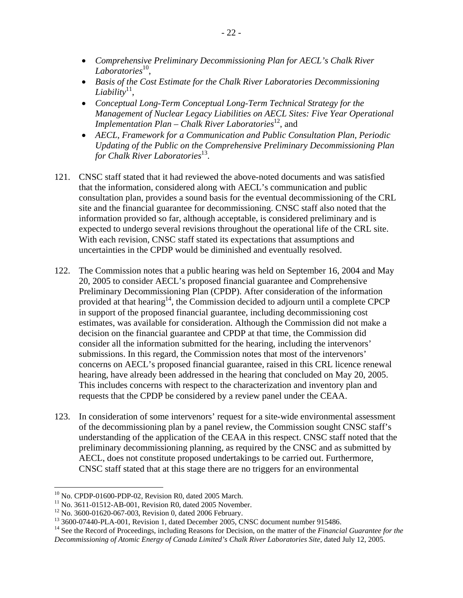- • *Comprehensive Preliminary Decommissioning Plan for AECL's Chalk River*  Laboratories<sup>10</sup>.
- Basis of the Cost Estimate for the Chalk River Laboratories Decommissioning Liability<sup>11</sup>,
- • *Conceptual Long-Term Conceptual Long-Term Technical Strategy for the Management of Nuclear Legacy Liabilities on AECL Sites: Five Year Operational Implementation Plan – Chalk River Laboratories*<sup>12</sup>, and
- • *AECL, Framework for a Communication and Public Consultation Plan, Periodic Updating of the Public on the Comprehensive Preliminary Decommissioning Plan for Chalk River Laboratories*<sup>13</sup>.
- 121. CNSC staff stated that it had reviewed the above-noted documents and was satisfied that the information, considered along with AECL's communication and public consultation plan, provides a sound basis for the eventual decommissioning of the CRL site and the financial guarantee for decommissioning. CNSC staff also noted that the information provided so far, although acceptable, is considered preliminary and is expected to undergo several revisions throughout the operational life of the CRL site. With each revision, CNSC staff stated its expectations that assumptions and uncertainties in the CPDP would be diminished and eventually resolved.
- 122. The Commission notes that a public hearing was held on September 16, 2004 and May 20, 2005 to consider AECL's proposed financial guarantee and Comprehensive Preliminary Decommissioning Plan (CPDP). After consideration of the information provided at that hearing<sup>14</sup>, the Commission decided to adjourn until a complete CPCP in support of the proposed financial guarantee, including decommissioning cost estimates, was available for consideration. Although the Commission did not make a decision on the financial guarantee and CPDP at that time, the Commission did consider all the information submitted for the hearing, including the intervenors' submissions. In this regard, the Commission notes that most of the intervenors' concerns on AECL's proposed financial guarantee, raised in this CRL licence renewal hearing, have already been addressed in the hearing that concluded on May 20, 2005. This includes concerns with respect to the characterization and inventory plan and requests that the CPDP be considered by a review panel under the CEAA.
- 123. In consideration of some intervenors' request for a site-wide environmental assessment of the decommissioning plan by a panel review, the Commission sought CNSC staff's understanding of the application of the CEAA in this respect. CNSC staff noted that the preliminary decommissioning planning, as required by the CNSC and as submitted by AECL, does not constitute proposed undertakings to be carried out. Furthermore, CNSC staff stated that at this stage there are no triggers for an environmental

1

 $^{10}$  No. CPDP-01600-PDP-02, Revision R0, dated 2005 March.

<sup>&</sup>lt;sup>11</sup> No. 3611-01512-AB-001, Revision R0, dated 2005 November.<br><sup>12</sup> No. 3600-01620-067-003, Revision 0, dated 2006 February.<br><sup>13</sup> 3600-07440-PLA-001, Revision 1, dated December 2005, CNSC document number 915486.<br><sup>14</sup> See t *Decommissioning of Atomic Energy of Canada Limited's Chalk River Laboratories Site*, dated July 12, 2005.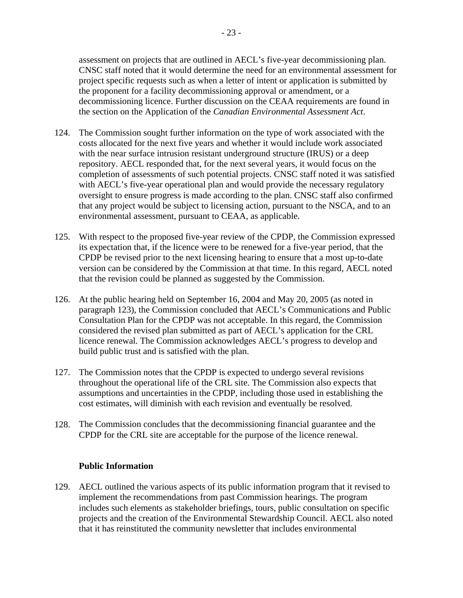assessment on projects that are outlined in AECL's five-year decommissioning plan. CNSC staff noted that it would determine the need for an environmental assessment for project specific requests such as when a letter of intent or application is submitted by the proponent for a facility decommissioning approval or amendment, or a decommissioning licence. Further discussion on the CEAA requirements are found in the section on the Application of the *Canadian Environmental Assessment Act*.

- 124. The Commission sought further information on the type of work associated with the costs allocated for the next five years and whether it would include work associated with the near surface intrusion resistant underground structure (IRUS) or a deep repository. AECL responded that, for the next several years, it would focus on the completion of assessments of such potential projects. CNSC staff noted it was satisfied with AECL's five-year operational plan and would provide the necessary regulatory oversight to ensure progress is made according to the plan. CNSC staff also confirmed that any project would be subject to licensing action, pursuant to the NSCA, and to an environmental assessment, pursuant to CEAA, as applicable.
- 125. With respect to the proposed five-year review of the CPDP, the Commission expressed its expectation that, if the licence were to be renewed for a five-year period, that the CPDP be revised prior to the next licensing hearing to ensure that a most up-to-date version can be considered by the Commission at that time. In this regard, AECL noted that the revision could be planned as suggested by the Commission.
- 126. At the public hearing held on September 16, 2004 and May 20, 2005 (as noted in paragraph 123), the Commission concluded that AECL's Communications and Public Consultation Plan for the CPDP was not acceptable. In this regard, the Commission considered the revised plan submitted as part of AECL's application for the CRL licence renewal. The Commission acknowledges AECL's progress to develop and build public trust and is satisfied with the plan.
- 127. The Commission notes that the CPDP is expected to undergo several revisions throughout the operational life of the CRL site. The Commission also expects that assumptions and uncertainties in the CPDP, including those used in establishing the cost estimates, will diminish with each revision and eventually be resolved.
- 128. The Commission concludes that the decommissioning financial guarantee and the CPDP for the CRL site are acceptable for the purpose of the licence renewal.

#### **Public Information**

129. AECL outlined the various aspects of its public information program that it revised to implement the recommendations from past Commission hearings. The program includes such elements as stakeholder briefings, tours, public consultation on specific projects and the creation of the Environmental Stewardship Council. AECL also noted that it has reinstituted the community newsletter that includes environmental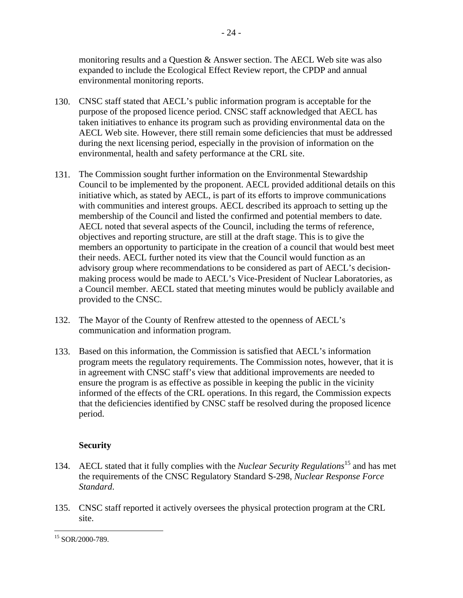monitoring results and a Question & Answer section. The AECL Web site was also expanded to include the Ecological Effect Review report, the CPDP and annual environmental monitoring reports.

- 130. CNSC staff stated that AECL's public information program is acceptable for the purpose of the proposed licence period. CNSC staff acknowledged that AECL has taken initiatives to enhance its program such as providing environmental data on the AECL Web site. However, there still remain some deficiencies that must be addressed during the next licensing period, especially in the provision of information on the environmental, health and safety performance at the CRL site.
- 131. The Commission sought further information on the Environmental Stewardship Council to be implemented by the proponent. AECL provided additional details on this initiative which, as stated by AECL, is part of its efforts to improve communications with communities and interest groups. AECL described its approach to setting up the membership of the Council and listed the confirmed and potential members to date. AECL noted that several aspects of the Council, including the terms of reference, objectives and reporting structure, are still at the draft stage. This is to give the members an opportunity to participate in the creation of a council that would best meet their needs. AECL further noted its view that the Council would function as an advisory group where recommendations to be considered as part of AECL's decisionmaking process would be made to AECL's Vice-President of Nuclear Laboratories, as a Council member. AECL stated that meeting minutes would be publicly available and provided to the CNSC.
- 132. The Mayor of the County of Renfrew attested to the openness of AECL's communication and information program.
- 133. Based on this information, the Commission is satisfied that AECL's information program meets the regulatory requirements. The Commission notes, however, that it is in agreement with CNSC staff's view that additional improvements are needed to ensure the program is as effective as possible in keeping the public in the vicinity informed of the effects of the CRL operations. In this regard, the Commission expects that the deficiencies identified by CNSC staff be resolved during the proposed licence period.

# **Security**

- 134. AECL stated that it fully complies with the *Nuclear Security Regulations*15 and has met the requirements of the CNSC Regulatory Standard S-298, *Nuclear Response Force Standard*.
- 135. CNSC staff reported it actively oversees the physical protection program at the CRL site.

 $\overline{a}$ <sup>15</sup> SOR/2000-789.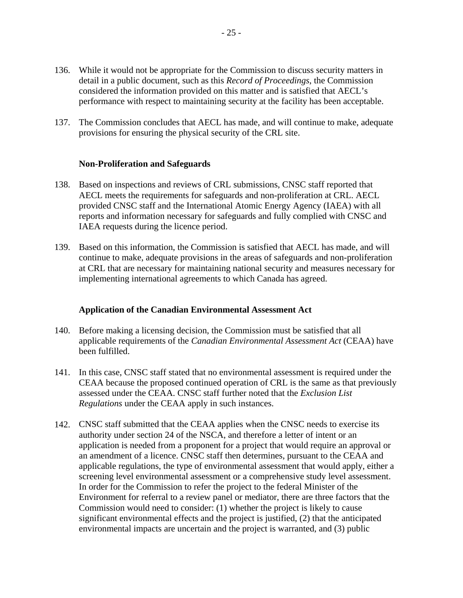- 136. While it would not be appropriate for the Commission to discuss security matters in detail in a public document, such as this *Record of Proceedings*, the Commission considered the information provided on this matter and is satisfied that AECL's performance with respect to maintaining security at the facility has been acceptable.
- 137. The Commission concludes that AECL has made, and will continue to make, adequate provisions for ensuring the physical security of the CRL site.

#### **Non-Proliferation and Safeguards**

- 138. Based on inspections and reviews of CRL submissions, CNSC staff reported that AECL meets the requirements for safeguards and non-proliferation at CRL. AECL provided CNSC staff and the International Atomic Energy Agency (IAEA) with all reports and information necessary for safeguards and fully complied with CNSC and IAEA requests during the licence period.
- 139. Based on this information, the Commission is satisfied that AECL has made, and will continue to make, adequate provisions in the areas of safeguards and non-proliferation at CRL that are necessary for maintaining national security and measures necessary for implementing international agreements to which Canada has agreed.

#### **Application of the Canadian Environmental Assessment Act**

- 140. Before making a licensing decision, the Commission must be satisfied that all applicable requirements of the *Canadian Environmental Assessment Act* (CEAA) have been fulfilled.
- 141. In this case, CNSC staff stated that no environmental assessment is required under the CEAA because the proposed continued operation of CRL is the same as that previously assessed under the CEAA. CNSC staff further noted that the *Exclusion List Regulations* under the CEAA apply in such instances.
- 142. CNSC staff submitted that the CEAA applies when the CNSC needs to exercise its authority under section 24 of the NSCA, and therefore a letter of intent or an application is needed from a proponent for a project that would require an approval or an amendment of a licence. CNSC staff then determines, pursuant to the CEAA and applicable regulations, the type of environmental assessment that would apply, either a screening level environmental assessment or a comprehensive study level assessment. In order for the Commission to refer the project to the federal Minister of the Environment for referral to a review panel or mediator, there are three factors that the Commission would need to consider: (1) whether the project is likely to cause significant environmental effects and the project is justified, (2) that the anticipated environmental impacts are uncertain and the project is warranted, and (3) public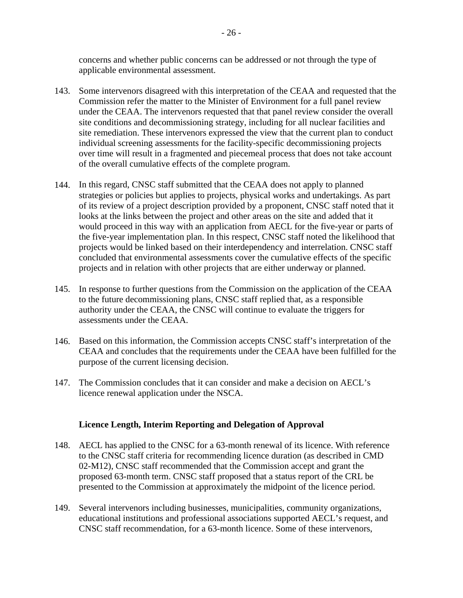concerns and whether public concerns can be addressed or not through the type of applicable environmental assessment.

- 143. Some intervenors disagreed with this interpretation of the CEAA and requested that the Commission refer the matter to the Minister of Environment for a full panel review under the CEAA. The intervenors requested that that panel review consider the overall site conditions and decommissioning strategy, including for all nuclear facilities and site remediation. These intervenors expressed the view that the current plan to conduct individual screening assessments for the facility-specific decommissioning projects over time will result in a fragmented and piecemeal process that does not take account of the overall cumulative effects of the complete program.
- 144. In this regard, CNSC staff submitted that the CEAA does not apply to planned strategies or policies but applies to projects, physical works and undertakings. As part of its review of a project description provided by a proponent, CNSC staff noted that it looks at the links between the project and other areas on the site and added that it would proceed in this way with an application from AECL for the five-year or parts of the five-year implementation plan. In this respect, CNSC staff noted the likelihood that projects would be linked based on their interdependency and interrelation. CNSC staff concluded that environmental assessments cover the cumulative effects of the specific projects and in relation with other projects that are either underway or planned.
- 145. In response to further questions from the Commission on the application of the CEAA to the future decommissioning plans, CNSC staff replied that, as a responsible authority under the CEAA, the CNSC will continue to evaluate the triggers for assessments under the CEAA.
- 146. Based on this information, the Commission accepts CNSC staff's interpretation of the CEAA and concludes that the requirements under the CEAA have been fulfilled for the purpose of the current licensing decision.
- 147. The Commission concludes that it can consider and make a decision on AECL's licence renewal application under the NSCA.

#### **Licence Length, Interim Reporting and Delegation of Approval**

- 148. AECL has applied to the CNSC for a 63-month renewal of its licence. With reference to the CNSC staff criteria for recommending licence duration (as described in CMD 02-M12), CNSC staff recommended that the Commission accept and grant the proposed 63-month term. CNSC staff proposed that a status report of the CRL be presented to the Commission at approximately the midpoint of the licence period.
- 149. Several intervenors including businesses, municipalities, community organizations, educational institutions and professional associations supported AECL's request, and CNSC staff recommendation, for a 63-month licence. Some of these intervenors,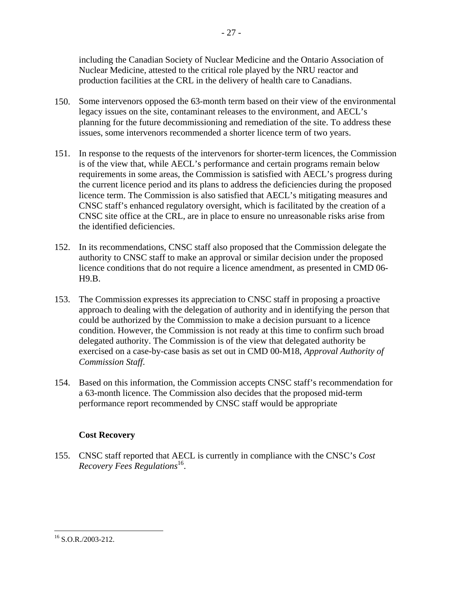including the Canadian Society of Nuclear Medicine and the Ontario Association of Nuclear Medicine, attested to the critical role played by the NRU reactor and production facilities at the CRL in the delivery of health care to Canadians.

- 150. Some intervenors opposed the 63-month term based on their view of the environmental legacy issues on the site, contaminant releases to the environment, and AECL's planning for the future decommissioning and remediation of the site. To address these issues, some intervenors recommended a shorter licence term of two years.
- 151. In response to the requests of the intervenors for shorter-term licences, the Commission is of the view that, while AECL's performance and certain programs remain below requirements in some areas, the Commission is satisfied with AECL's progress during the current licence period and its plans to address the deficiencies during the proposed licence term. The Commission is also satisfied that AECL's mitigating measures and CNSC staff's enhanced regulatory oversight, which is facilitated by the creation of a CNSC site office at the CRL, are in place to ensure no unreasonable risks arise from the identified deficiencies.
- 152. In its recommendations, CNSC staff also proposed that the Commission delegate the authority to CNSC staff to make an approval or similar decision under the proposed licence conditions that do not require a licence amendment, as presented in CMD 06 H9.B.
- 153. The Commission expresses its appreciation to CNSC staff in proposing a proactive approach to dealing with the delegation of authority and in identifying the person that could be authorized by the Commission to make a decision pursuant to a licence condition. However, the Commission is not ready at this time to confirm such broad delegated authority. The Commission is of the view that delegated authority be exercised on a case-by-case basis as set out in CMD 00-M18, *Approval Authority of Commission Staff*.
- 154. Based on this information, the Commission accepts CNSC staff's recommendation for a 63-month licence. The Commission also decides that the proposed mid-term performance report recommended by CNSC staff would be appropriate

# **Cost Recovery**

155. CNSC staff reported that AECL is currently in compliance with the CNSC's *Cost Recovery Fees Regulations*16.

 $\overline{a}$ <sup>16</sup> S.O.R./2003-212.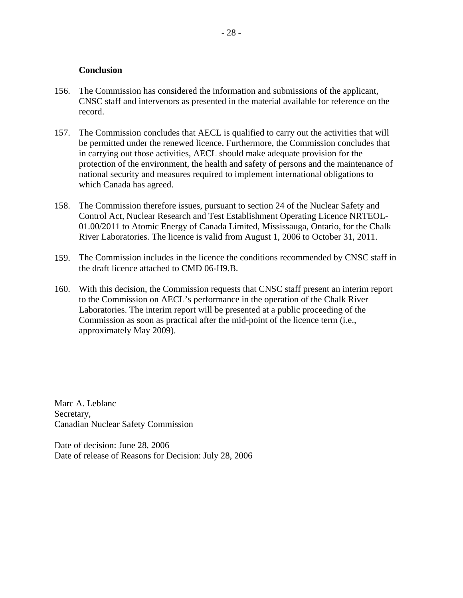#### **Conclusion**

- 156. The Commission has considered the information and submissions of the applicant, CNSC staff and intervenors as presented in the material available for reference on the record.
- 157. The Commission concludes that AECL is qualified to carry out the activities that will be permitted under the renewed licence. Furthermore, the Commission concludes that in carrying out those activities, AECL should make adequate provision for the protection of the environment, the health and safety of persons and the maintenance of national security and measures required to implement international obligations to which Canada has agreed.
- 158. The Commission therefore issues, pursuant to section 24 of the Nuclear Safety and Control Act, Nuclear Research and Test Establishment Operating Licence NRTEOL-01.00/2011 to Atomic Energy of Canada Limited, Mississauga, Ontario, for the Chalk River Laboratories. The licence is valid from August 1, 2006 to October 31, 2011.
- 159. The Commission includes in the licence the conditions recommended by CNSC staff in the draft licence attached to CMD 06-H9.B.
- 160. With this decision, the Commission requests that CNSC staff present an interim report to the Commission on AECL's performance in the operation of the Chalk River Laboratories. The interim report will be presented at a public proceeding of the Commission as soon as practical after the mid-point of the licence term (i.e., approximately May 2009).

Marc A. Leblanc Secretary, Canadian Nuclear Safety Commission

Date of decision: June 28, 2006 Date of release of Reasons for Decision: July 28, 2006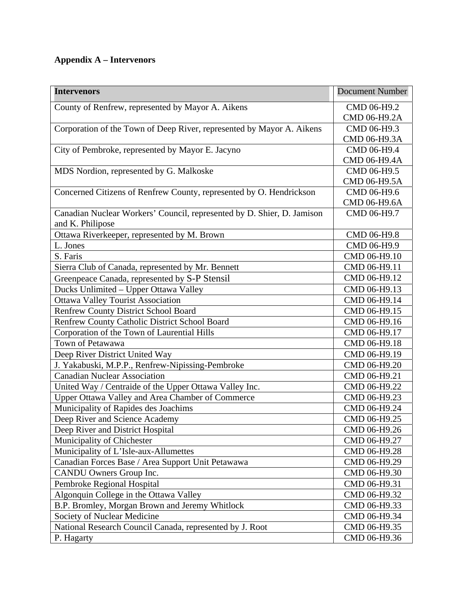# **Appendix A – Intervenors**

| <b>Intervenors</b>                                                                         | <b>Document Number</b> |
|--------------------------------------------------------------------------------------------|------------------------|
| County of Renfrew, represented by Mayor A. Aikens                                          | CMD 06-H9.2            |
|                                                                                            | CMD 06-H9.2A           |
| Corporation of the Town of Deep River, represented by Mayor A. Aikens                      | CMD 06-H9.3            |
|                                                                                            | CMD 06-H9.3A           |
| City of Pembroke, represented by Mayor E. Jacyno                                           | CMD 06-H9.4            |
|                                                                                            | CMD 06-H9.4A           |
| MDS Nordion, represented by G. Malkoske                                                    | CMD 06-H9.5            |
|                                                                                            | CMD 06-H9.5A           |
| Concerned Citizens of Renfrew County, represented by O. Hendrickson                        | CMD 06-H9.6            |
|                                                                                            | CMD 06-H9.6A           |
| Canadian Nuclear Workers' Council, represented by D. Shier, D. Jamison<br>and K. Philipose | CMD 06-H9.7            |
| Ottawa Riverkeeper, represented by M. Brown                                                | CMD 06-H9.8            |
| L. Jones                                                                                   | CMD 06-H9.9            |
| S. Faris                                                                                   | CMD 06-H9.10           |
| Sierra Club of Canada, represented by Mr. Bennett                                          | CMD 06-H9.11           |
| Greenpeace Canada, represented by S-P Stensil                                              | CMD 06-H9.12           |
| Ducks Unlimited - Upper Ottawa Valley                                                      | CMD 06-H9.13           |
| <b>Ottawa Valley Tourist Association</b>                                                   | CMD 06-H9.14           |
| <b>Renfrew County District School Board</b>                                                | CMD 06-H9.15           |
| Renfrew County Catholic District School Board                                              | CMD 06-H9.16           |
| Corporation of the Town of Laurential Hills                                                | CMD 06-H9.17           |
| Town of Petawawa                                                                           | CMD 06-H9.18           |
| Deep River District United Way                                                             | CMD 06-H9.19           |
| J. Yakabuski, M.P.P., Renfrew-Nipissing-Pembroke                                           | CMD 06-H9.20           |
| <b>Canadian Nuclear Association</b>                                                        | CMD 06-H9.21           |
| United Way / Centraide of the Upper Ottawa Valley Inc.                                     | CMD 06-H9.22           |
| Upper Ottawa Valley and Area Chamber of Commerce                                           | CMD 06-H9.23           |
| Municipality of Rapides des Joachims                                                       | CMD 06-H9.24           |
| Deep River and Science Academy                                                             | CMD 06-H9.25           |
| Deep River and District Hospital                                                           | CMD 06-H9.26           |
| Municipality of Chichester                                                                 | CMD 06-H9.27           |
| Municipality of L'Isle-aux-Allumettes                                                      | CMD 06-H9.28           |
| Canadian Forces Base / Area Support Unit Petawawa                                          | CMD 06-H9.29           |
| CANDU Owners Group Inc.                                                                    | CMD 06-H9.30           |
| Pembroke Regional Hospital                                                                 | CMD 06-H9.31           |
| Algonquin College in the Ottawa Valley                                                     | CMD 06-H9.32           |
| B.P. Bromley, Morgan Brown and Jeremy Whitlock                                             | CMD 06-H9.33           |
| Society of Nuclear Medicine                                                                | CMD 06-H9.34           |
| National Research Council Canada, represented by J. Root                                   | CMD 06-H9.35           |
| P. Hagarty                                                                                 | CMD 06-H9.36           |